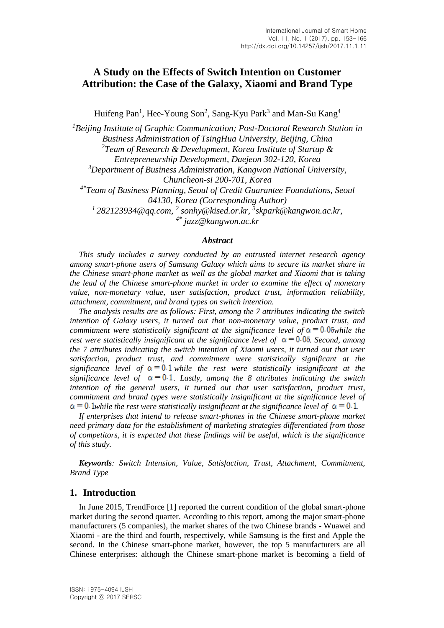# **A Study on the Effects of Switch Intention on Customer Attribution: the Case of the Galaxy, Xiaomi and Brand Type**

Huifeng Pan<sup>1</sup>, Hee-Young Son<sup>2</sup>, Sang-Kyu Park<sup>3</sup> and Man-Su Kang<sup>4</sup>

*<sup>1</sup>Beijing Institute of Graphic Communication; Post-Doctoral Research Station in Business Administration of TsingHua University, Beijing, China <sup>2</sup>Team of Research & Development, Korea Institute of Startup & Entrepreneurship Development, Daejeon 302-120, Korea <sup>3</sup>Department of Business Administration, Kangwon National University, Chuncheon-si 200-701, Korea 4\*Team of Business Planning, Seoul of Credit Guarantee Foundations, Seoul 04130, Korea (Corresponding Author) <sup>1</sup>282123934@qq.com, 2 sonhy@kised.or.kr, 3 skpark@kangwon.ac.kr, 4\* jazz@kangwon.ac.kr*

#### *Abstract*

*This study includes a survey conducted by an entrusted internet research agency among smart-phone users of Samsung Galaxy which aims to secure its market share in the Chinese smart-phone market as well as the global market and Xiaomi that is taking the lead of the Chinese smart-phone market in order to examine the effect of monetary value, non-monetary value, user satisfaction, product trust, information reliability, attachment, commitment, and brand types on switch intention.*

*The analysis results are as follows: First, among the 7 attributes indicating the switch intention of Galaxy users, it turned out that non-monetary value, product trust, and commitment were statistically significant at the significance level of*  $\alpha = 0.05$ *while the rest were statistically insignificant at the significance level of*  $\alpha = 0.05$  *Second, among the 7 attributes indicating the switch intention of Xiaomi users, it turned out that user satisfaction, product trust, and commitment were statistically significant at the significance level of*  $\alpha = 0.1$  *while the rest were statistically insignificant at the significance level of*  $\alpha = 0.1$ . Lastly, among the 8 attributes indicating the switch *intention of the general users, it turned out that user satisfaction, product trust, commitment and brand types were statistically insignificant at the significance level of*   $\alpha$  = 0.1<sub>*while the rest were statistically insignificant at the significance level of*  $\alpha$  = 0.1</sub>

*If enterprises that intend to release smart-phones in the Chinese smart-phone market need primary data for the establishment of marketing strategies differentiated from those of competitors, it is expected that these findings will be useful, which is the significance of this study.*

*Keywords: Switch Intension, Value, Satisfaction, Trust, Attachment, Commitment, Brand Type*

#### **1. Introduction**

In June 2015, TrendForce [1] reported the current condition of the global smart-phone market during the second quarter. According to this report, among the major smart-phone manufacturers (5 companies), the market shares of the two Chinese brands - Wuawei and Xiaomi - are the third and fourth, respectively, while Samsung is the first and Apple the second. In the Chinese smart-phone market, however, the top 5 manufacturers are all Chinese enterprises: although the Chinese smart-phone market is becoming a field of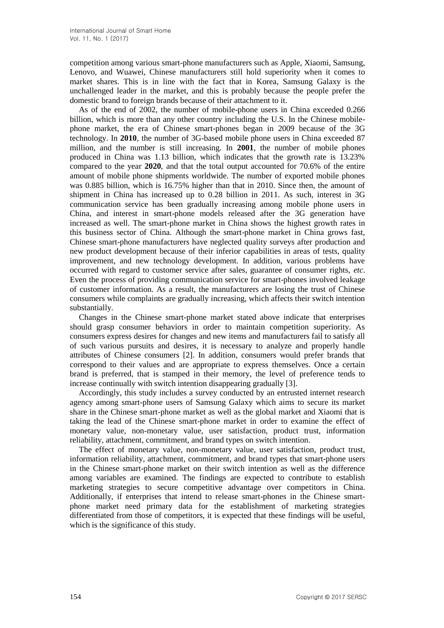competition among various smart-phone manufacturers such as Apple, Xiaomi, Samsung, Lenovo, and Wuawei, Chinese manufacturers still hold superiority when it comes to market shares. This is in line with the fact that in Korea, Samsung Galaxy is the unchallenged leader in the market, and this is probably because the people prefer the domestic brand to foreign brands because of their attachment to it.

As of the end of 2002, the number of mobile-phone users in China exceeded 0.266 billion, which is more than any other country including the U.S. In the Chinese mobilephone market, the era of Chinese smart-phones began in 2009 because of the 3G technology. In **2010**, the number of 3G-based mobile phone users in China exceeded 87 million, and the number is still increasing. In **2001**, the number of mobile phones produced in China was 1.13 billion, which indicates that the growth rate is 13.23% compared to the year **2020**, and that the total output accounted for 70.6% of the entire amount of mobile phone shipments worldwide. The number of exported mobile phones was 0.885 billion, which is 16.75% higher than that in 2010. Since then, the amount of shipment in China has increased up to 0.28 billion in 2011. As such, interest in 3G communication service has been gradually increasing among mobile phone users in China, and interest in smart-phone models released after the 3G generation have increased as well. The smart-phone market in China shows the highest growth rates in this business sector of China. Although the smart-phone market in China grows fast, Chinese smart-phone manufacturers have neglected quality surveys after production and new product development because of their inferior capabilities in areas of tests, quality improvement, and new technology development. In addition, various problems have occurred with regard to customer service after sales, guarantee of consumer rights, *etc*. Even the process of providing communication service for smart-phones involved leakage of customer information. As a result, the manufacturers are losing the trust of Chinese consumers while complaints are gradually increasing, which affects their switch intention substantially.

Changes in the Chinese smart-phone market stated above indicate that enterprises should grasp consumer behaviors in order to maintain competition superiority. As consumers express desires for changes and new items and manufacturers fail to satisfy all of such various pursuits and desires, it is necessary to analyze and properly handle attributes of Chinese consumers [2]. In addition, consumers would prefer brands that correspond to their values and are appropriate to express themselves. Once a certain brand is preferred, that is stamped in their memory, the level of preference tends to increase continually with switch intention disappearing gradually [3].

Accordingly, this study includes a survey conducted by an entrusted internet research agency among smart-phone users of Samsung Galaxy which aims to secure its market share in the Chinese smart-phone market as well as the global market and Xiaomi that is taking the lead of the Chinese smart-phone market in order to examine the effect of monetary value, non-monetary value, user satisfaction, product trust, information reliability, attachment, commitment, and brand types on switch intention.

The effect of monetary value, non-monetary value, user satisfaction, product trust, information reliability, attachment, commitment, and brand types that smart-phone users in the Chinese smart-phone market on their switch intention as well as the difference among variables are examined. The findings are expected to contribute to establish marketing strategies to secure competitive advantage over competitors in China. Additionally, if enterprises that intend to release smart-phones in the Chinese smartphone market need primary data for the establishment of marketing strategies differentiated from those of competitors, it is expected that these findings will be useful, which is the significance of this study.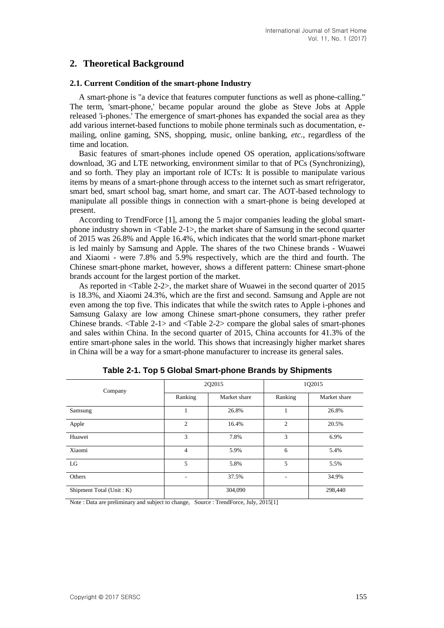# **2. Theoretical Background**

#### **2.1. Current Condition of the smart-phone Industry**

A smart-phone is "a device that features computer functions as well as phone-calling." The term, 'smart-phone,' became popular around the globe as Steve Jobs at Apple released 'i-phones.' The emergence of smart-phones has expanded the social area as they add various internet-based functions to mobile phone terminals such as documentation, emailing, online gaming, SNS, shopping, music, online banking, *etc*., regardless of the time and location.

Basic features of smart-phones include opened OS operation, applications/software download, 3G and LTE networking, environment similar to that of PCs (Synchronizing), and so forth. They play an important role of ICTs: It is possible to manipulate various items by means of a smart-phone through access to the internet such as smart refrigerator, smart bed, smart school bag, smart home, and smart car. The AOT-based technology to manipulate all possible things in connection with a smart-phone is being developed at present.

According to TrendForce [1], among the 5 major companies leading the global smartphone industry shown in <Table 2-1>, the market share of Samsung in the second quarter of 2015 was 26.8% and Apple 16.4%, which indicates that the world smart-phone market is led mainly by Samsung and Apple. The shares of the two Chinese brands - Wuawei and Xiaomi - were 7.8% and 5.9% respectively, which are the third and fourth. The Chinese smart-phone market, however, shows a different pattern: Chinese smart-phone brands account for the largest portion of the market.

As reported in <Table 2-2>, the market share of Wuawei in the second quarter of 2015 is 18.3%, and Xiaomi 24.3%, which are the first and second. Samsung and Apple are not even among the top five. This indicates that while the switch rates to Apple i-phones and Samsung Galaxy are low among Chinese smart-phone consumers, they rather prefer Chinese brands. <Table 2-1> and <Table 2-2> compare the global sales of smart-phones and sales within China. In the second quarter of 2015, China accounts for 41.3% of the entire smart-phone sales in the world. This shows that increasingly higher market shares in China will be a way for a smart-phone manufacturer to increase its general sales.

| Company                  |                | 2Q2015       | 1Q2015         |              |  |
|--------------------------|----------------|--------------|----------------|--------------|--|
|                          | Ranking        | Market share | Ranking        | Market share |  |
| Samsung                  | 1              | 26.8%        |                | 26.8%        |  |
| Apple                    | $\overline{2}$ | 16.4%        | $\overline{c}$ | 20.5%        |  |
| Huawei                   | 3              | 7.8%         | 3              | 6.9%         |  |
| Xiaomi                   | $\overline{4}$ | 5.9%         | 6              | 5.4%         |  |
| LG                       | 5              | 5.8%         | 5              | 5.5%         |  |
| Others                   |                | 37.5%        |                | 34.9%        |  |
| Shipment Total (Unit: K) |                | 304,090      |                | 298,440      |  |

**Table 2-1. Top 5 Global Smart-phone Brands by Shipments**

Note : Data are preliminary and subject to change, Source : TrendForce, July, 2015[1]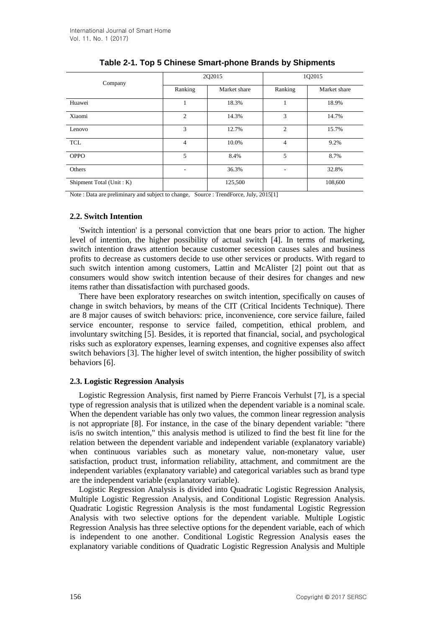| Company                  |                | 2Q2015       | 1Q2015         |              |
|--------------------------|----------------|--------------|----------------|--------------|
|                          | Ranking        | Market share | Ranking        | Market share |
| Huawei                   | 1              | 18.3%        |                | 18.9%        |
| Xiaomi                   | $\overline{2}$ | 14.3%        | 3              | 14.7%        |
| Lenovo                   | 3              | 12.7%        | $\mathfrak{2}$ | 15.7%        |
| <b>TCL</b>               | $\overline{4}$ | 10.0%        | 4              | 9.2%         |
| <b>OPPO</b>              | 5              | 8.4%         | 5              | 8.7%         |
| Others                   | ٠              | 36.3%        |                | 32.8%        |
| Shipment Total (Unit: K) |                | 125,500      |                | 108,600      |

### **Table 2-1. Top 5 Chinese Smart-phone Brands by Shipments**

Note : Data are preliminary and subject to change, Source : TrendForce, July, 2015[1]

#### **2.2. Switch Intention**

'Switch intention' is a personal conviction that one bears prior to action. The higher level of intention, the higher possibility of actual switch [4]. In terms of marketing, switch intention draws attention because customer secession causes sales and business profits to decrease as customers decide to use other services or products. With regard to such switch intention among customers, Lattin and McAlister [2] point out that as consumers would show switch intention because of their desires for changes and new items rather than dissatisfaction with purchased goods.

There have been exploratory researches on switch intention, specifically on causes of change in switch behaviors, by means of the CIT (Critical Incidents Technique). There are 8 major causes of switch behaviors: price, inconvenience, core service failure, failed service encounter, response to service failed, competition, ethical problem, and involuntary switching [5]. Besides, it is reported that financial, social, and psychological risks such as exploratory expenses, learning expenses, and cognitive expenses also affect switch behaviors [3]. The higher level of switch intention, the higher possibility of switch behaviors [6].

#### **2.3. Logistic Regression Analysis**

Logistic Regression Analysis, first named by Pierre Francois Verhulst [7], is a special type of regression analysis that is utilized when the dependent variable is a nominal scale. When the dependent variable has only two values, the common linear regression analysis is not appropriate [8]. For instance, in the case of the binary dependent variable: "there is/is no switch intention," this analysis method is utilized to find the best fit line for the relation between the dependent variable and independent variable (explanatory variable) when continuous variables such as monetary value, non-monetary value, user satisfaction, product trust, information reliability, attachment, and commitment are the independent variables (explanatory variable) and categorical variables such as brand type are the independent variable (explanatory variable).

Logistic Regression Analysis is divided into Quadratic Logistic Regression Analysis, Multiple Logistic Regression Analysis, and Conditional Logistic Regression Analysis. Quadratic Logistic Regression Analysis is the most fundamental Logistic Regression Analysis with two selective options for the dependent variable. Multiple Logistic Regression Analysis has three selective options for the dependent variable, each of which is independent to one another. Conditional Logistic Regression Analysis eases the explanatory variable conditions of Quadratic Logistic Regression Analysis and Multiple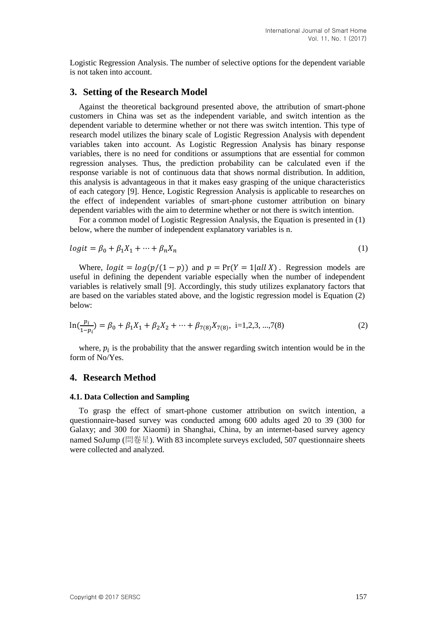Logistic Regression Analysis. The number of selective options for the dependent variable is not taken into account.

### **3. Setting of the Research Model**

Against the theoretical background presented above, the attribution of smart-phone customers in China was set as the independent variable, and switch intention as the dependent variable to determine whether or not there was switch intention. This type of research model utilizes the binary scale of Logistic Regression Analysis with dependent variables taken into account. As Logistic Regression Analysis has binary response variables, there is no need for conditions or assumptions that are essential for common regression analyses. Thus, the prediction probability can be calculated even if the response variable is not of continuous data that shows normal distribution. In addition, this analysis is advantageous in that it makes easy grasping of the unique characteristics of each category [9]. Hence, Logistic Regression Analysis is applicable to researches on the effect of independent variables of smart-phone customer attribution on binary dependent variables with the aim to determine whether or not there is switch intention.

For a common model of Logistic Regression Analysis, the Equation is presented in (1) below, where the number of independent explanatory variables is n.

$$
logit = \beta_0 + \beta_1 X_1 + \dots + \beta_n X_n \tag{1}
$$

Where,  $logit = log(p/(1 - p))$  and  $p = Pr(Y = 1| all X)$ . Regression models are useful in defining the dependent variable especially when the number of independent variables is relatively small [9]. Accordingly, this study utilizes explanatory factors that are based on the variables stated above, and the logistic regression model is Equation (2) below:

$$
\ln(\frac{p_i}{1-p_i}) = \beta_0 + \beta_1 X_1 + \beta_2 X_2 + \dots + \beta_{7(8)} X_{7(8)}, \quad i = 1, 2, 3, \dots, 7(8)
$$
 (2)

where,  $p_i$  is the probability that the answer regarding switch intention would be in the form of No/Yes.

#### **4. Research Method**

#### **4.1. Data Collection and Sampling**

To grasp the effect of smart-phone customer attribution on switch intention, a questionnaire-based survey was conducted among 600 adults aged 20 to 39 (300 for Galaxy; and 300 for Xiaomi) in Shanghai, China, by an internet-based survey agency named SoJump (問卷星). With 83 incomplete surveys excluded, 507 questionnaire sheets were collected and analyzed.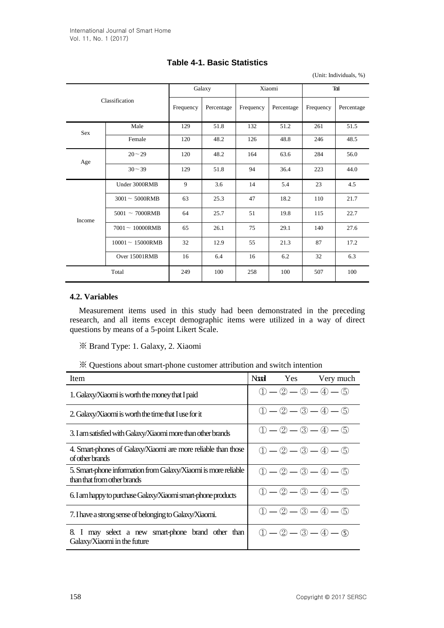| Classification |                     | Galaxy    |            | Xiaomi    |            | Tail      |            |
|----------------|---------------------|-----------|------------|-----------|------------|-----------|------------|
|                |                     | Frequency | Percentage | Frequency | Percentage | Frequency | Percentage |
| Sex            | Male                | 129       | 51.8       | 132       | 51.2       | 261       | 51.5       |
|                | Female              | 120       | 48.2       | 126       | 48.8       | 246       | 48.5       |
| Age            | $20 - 29$           | 120       | 48.2       | 164       | 63.6       | 284       | 56.0       |
|                | $30 - 39$           | 129       | 51.8       | 94        | 36.4       | 223       | 44.0       |
|                | Under 3000RMB       | 9         | 3.6        | 14        | 5.4        | 23        | 4.5        |
|                | $3001 - 5000$ RMB   | 63        | 25.3       | 47        | 18.2       | 110       | 21.7       |
| Income         | $5001 - 7000$ RMB   | 64        | 25.7       | 51        | 19.8       | 115       | 22.7       |
|                | $7001 - 10000$ RMB  | 65        | 26.1       | 75        | 29.1       | 140       | 27.6       |
|                | $10001 - 15000$ RMB | 32        | 12.9       | 55        | 21.3       | 87        | 17.2       |
|                | Over 15001RMB       | 16        | 6.4        | 16        | 6.2        | 32        | 6.3        |
|                | Total               | 249       | 100        | 258       | 100        | 507       | 100        |

## **Table 4-1. Basic Statistics**

(Unit: Individuals, %)

### **4.2. Variables**

Measurement items used in this study had been demonstrated in the preceding research, and all items except demographic items were utilized in a way of direct questions by means of a 5-point Likert Scale.

※ Brand Type: 1. Galaxy, 2. Xiaomi

※ Questions about smart-phone customer attribution and switch intention

| Item                                                                                          |  | Noted Yes Very much           |
|-----------------------------------------------------------------------------------------------|--|-------------------------------|
| 1. Galaxy/Xiaomi is worth the money that I paid                                               |  | $(1) - (2) - (3) - (4) - (5)$ |
| 2. Galaxy/Xiaomi is worth the time that I use for it                                          |  | $(1) - (2) - (3) - (4) - (5)$ |
| 3. I am satisfied with Galaxy/Xiaomi more than other brands                                   |  | $(1) - (2) - (3) - (4) - (5)$ |
| 4. Smart-phones of Galaxy/Xiaomi are more reliable than those<br>of other brands              |  | $(1) - (2) - (3) - (4) - (5)$ |
| 5. Smart-phone information from Galaxy/Xiaomi is more reliable<br>than that from other brands |  | $(1) - (2) - (3) - (4) - (5)$ |
| 6. I am happy to purchase Galaxy/Xiaomi smart-phone products                                  |  | $(1) - (2) - (3) - (4) - (5)$ |
| 7. I have a strong sense of belonging to Galaxy/Xiaomi.                                       |  | $(1) - (2) - (3) - (4) - (5)$ |
| 8. I may select a new smart-phone brand other than<br>Galaxy/Xiaomi in the future             |  | $(1) - (2) - (3) - (4) - (5)$ |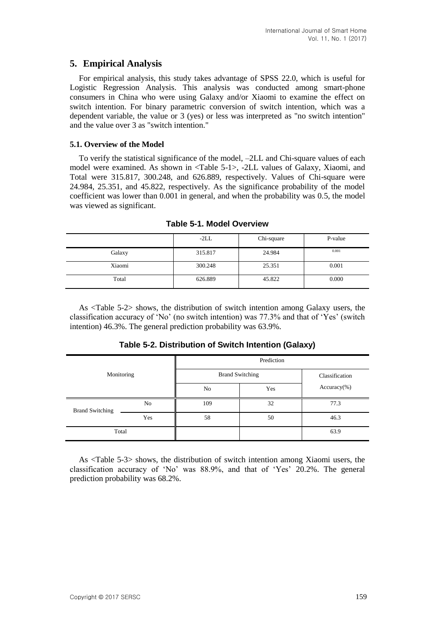## **5. Empirical Analysis**

For empirical analysis, this study takes advantage of SPSS 22.0, which is useful for Logistic Regression Analysis. This analysis was conducted among smart-phone consumers in China who were using Galaxy and/or Xiaomi to examine the effect on switch intention. For binary parametric conversion of switch intention, which was a dependent variable, the value or 3 (yes) or less was interpreted as "no switch intention" and the value over 3 as "switch intention."

#### **5.1. Overview of the Model**

To verify the statistical significance of the model, –2LL and Chi-square values of each model were examined. As shown in <Table 5-1>, -2LL values of Galaxy, Xiaomi, and Total were 315.817, 300.248, and 626.889, respectively. Values of Chi-square were 24.984, 25.351, and 45.822, respectively. As the significance probability of the model coefficient was lower than 0.001 in general, and when the probability was 0.5, the model was viewed as significant.

|        | $-2LL$  | Chi-square | P-value |
|--------|---------|------------|---------|
| Galaxy | 315.817 | 24.984     | 0.001   |
| Xiaomi | 300.248 | 25.351     | 0.001   |
| Total  | 626.889 | 45.822     | 0.000   |

**Table 5-1. Model Overview**

As <Table 5-2> shows, the distribution of switch intention among Galaxy users, the classification accuracy of 'No' (no switch intention) was 77.3% and that of 'Yes' (switch intention) 46.3%. The general prediction probability was 63.9%.

|  | Table 5-2. Distribution of Switch Intention (Galaxy) |  |  |  |
|--|------------------------------------------------------|--|--|--|
|--|------------------------------------------------------|--|--|--|

| Monitoring             |     | Prediction             |                |               |  |  |
|------------------------|-----|------------------------|----------------|---------------|--|--|
|                        |     | <b>Brand Switching</b> | Classification |               |  |  |
|                        |     | No                     | Yes            | $Accuracy$ %) |  |  |
| <b>Brand Switching</b> | No  | 109                    | 32             | 77.3          |  |  |
|                        | Yes | 58                     | 50             | 46.3          |  |  |
| Total                  |     |                        |                | 63.9          |  |  |

As <Table 5-3> shows, the distribution of switch intention among Xiaomi users, the classification accuracy of 'No' was 88.9%, and that of 'Yes' 20.2%. The general prediction probability was 68.2%.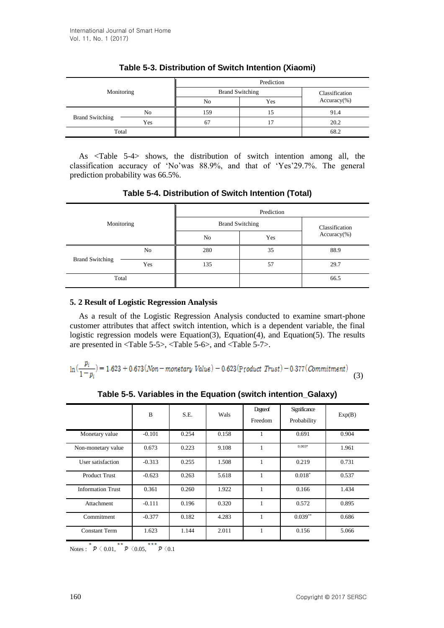| Monitoring             |     | Prediction             |                |               |  |  |
|------------------------|-----|------------------------|----------------|---------------|--|--|
|                        |     | <b>Brand Switching</b> | Classification |               |  |  |
|                        |     | No                     | Yes            | $Accuracy$ %) |  |  |
| <b>Brand Switching</b> | No  | 159                    | 15             | 91.4          |  |  |
|                        | Yes | 67                     |                | 20.2          |  |  |
| Total                  |     |                        |                | 68.2          |  |  |

# **Table 5-3. Distribution of Switch Intention (Xiaomi)**

As <Table 5-4> shows, the distribution of switch intention among all, the classification accuracy of 'No'was 88.9%, and that of 'Yes'29.7%. The general prediction probability was 66.5%.

| Table 5-4. Distribution of Switch Intention (Total) |
|-----------------------------------------------------|
|-----------------------------------------------------|

| Monitoring             |     | Prediction             |                |               |  |  |
|------------------------|-----|------------------------|----------------|---------------|--|--|
|                        |     | <b>Brand Switching</b> | Classification |               |  |  |
|                        |     | No                     | Yes            | $Accuracy$ %) |  |  |
|                        | No  | 280                    | 35             | 88.9          |  |  |
| <b>Brand Switching</b> | Yes | 135                    | 57             | 29.7          |  |  |
| Total                  |     |                        |                | 66.5          |  |  |

#### **5. 2 Result of Logistic Regression Analysis**

As a result of the Logistic Regression Analysis conducted to examine smart-phone customer attributes that affect switch intention, which is a dependent variable, the final logistic regression models were Equation(3), Equation(4), and Equation(5). The results are presented in <Table 5-5>, <Table 5-6>, and <Table 5-7>.

$$
\ln\left(\frac{p_i}{1-p_i}\right) = 1.623 + 0.673(Non - monetary Value) - 0.623(Product Trust) - 0.377(Commitment)
$$
\n(3)

**Table 5-5. Variables in the Equation (switch intention\_Galaxy)**

|                          | B        | S.E.  | Wals  | Degreed<br>Freedom | Significance<br>Probability | Exp(B) |
|--------------------------|----------|-------|-------|--------------------|-----------------------------|--------|
| Monetary value           | $-0.101$ | 0.254 | 0.158 | 1                  | 0.691                       | 0.904  |
| Non-monetary value       | 0.673    | 0.223 | 9.108 | 1                  | $0.003*$                    | 1.961  |
| User satisfaction        | $-0.313$ | 0.255 | 1.508 | 1                  | 0.219                       | 0.731  |
| <b>Product Trust</b>     | $-0.623$ | 0.263 | 5.618 | 1                  | $0.018*$                    | 0.537  |
| <b>Information Trust</b> | 0.361    | 0.260 | 1.922 | 1                  | 0.166                       | 1.434  |
| Attachment               | $-0.111$ | 0.196 | 0.320 | 1                  | 0.572                       | 0.895  |
| Commitment               | $-0.377$ | 0.182 | 4.283 | 1                  | $0.039**$                   | 0.686  |
| Constant Term            | 1.623    | 1.144 | 2.011 | 1                  | 0.156                       | 5.066  |

Notes :  $^*$   $\mathcal{P}$   $\langle 0.01, \overline{\hspace{0.3cm}}^*$   $\mathcal{P}$   $\langle 0.05, \overline{\hspace{0.3cm}}^*$   $\mathcal{P}$   $\langle 0.1 \rangle$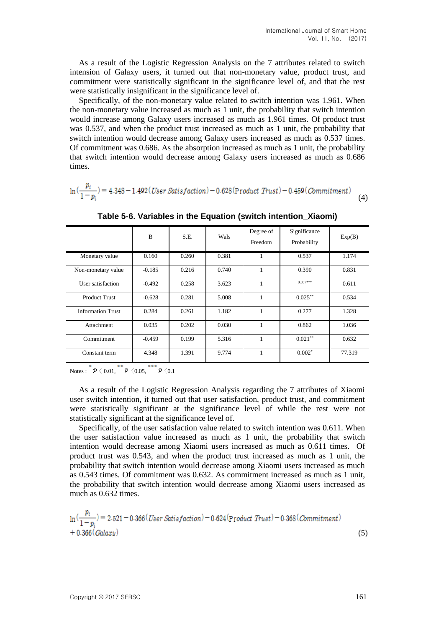As a result of the Logistic Regression Analysis on the 7 attributes related to switch intension of Galaxy users, it turned out that non-monetary value, product trust, and commitment were statistically significant in the significance level of, and that the rest were statistically insignificant in the significance level of.

Specifically, of the non-monetary value related to switch intention was 1.961. When the non-monetary value increased as much as 1 unit, the probability that switch intention would increase among Galaxy users increased as much as 1.961 times. Of product trust was 0.537, and when the product trust increased as much as 1 unit, the probability that switch intention would decrease among Galaxy users increased as much as 0.537 times. Of commitment was 0.686. As the absorption increased as much as 1 unit, the probability that switch intention would decrease among Galaxy users increased as much as 0.686 times.

$$
\ln\left(\frac{p_i}{1-p_i}\right) = 4.348 - 1.492 \left( User Station\right) - 0.628 \left( Product \; Trust\right) - 0.459 \left( Comment\right) \tag{4}
$$

|                          | B        | S.E.  | Wals  | Degree of<br>Freedom | Significance<br>Probability | Exp(B) |
|--------------------------|----------|-------|-------|----------------------|-----------------------------|--------|
| Monetary value           | 0.160    | 0.260 | 0.381 | 1                    | 0.537                       | 1.174  |
| Non-monetary value       | $-0.185$ | 0.216 | 0.740 | 1                    | 0.390                       | 0.831  |
| User satisfaction        | $-0.492$ | 0.258 | 3.623 | 1                    | $0.057***$                  | 0.611  |
| <b>Product Trust</b>     | $-0.628$ | 0.281 | 5.008 | 1                    | $0.025***$                  | 0.534  |
| <b>Information Trust</b> | 0.284    | 0.261 | 1.182 | 1                    | 0.277                       | 1.328  |
| Attachment               | 0.035    | 0.202 | 0.030 | 1                    | 0.862                       | 1.036  |
| Commitment               | $-0.459$ | 0.199 | 5.316 | 1                    | $0.021***$                  | 0.632  |
| Constant term            | 4.348    | 1.391 | 9.774 | 1                    | $0.002*$                    | 77.319 |

**Table 5-6. Variables in the Equation (switch intention\_Xiaomi)**

Notes :  $\stackrel{\ast}{p}$   $\lt 0.01$ ,  $\stackrel{\ast}{p}$   $\lt 0.05$ ,  $\stackrel{\ast}{p}$   $\lt 0.1$ 

As a result of the Logistic Regression Analysis regarding the 7 attributes of Xiaomi user switch intention, it turned out that user satisfaction, product trust, and commitment were statistically significant at the significance level of while the rest were not statistically significant at the significance level of.

Specifically, of the user satisfaction value related to switch intention was 0.611. When the user satisfaction value increased as much as 1 unit, the probability that switch intention would decrease among Xiaomi users increased as much as 0.611 times. Of product trust was 0.543, and when the product trust increased as much as 1 unit, the probability that switch intention would decrease among Xiaomi users increased as much as 0.543 times. Of commitment was 0.632. As commitment increased as much as 1 unit, the probability that switch intention would decrease among Xiaomi users increased as much as 0.632 times.

$$
\ln\left(\frac{p_i}{1-p_i}\right) = 2.521 - 0.366 \left( \text{User Satisfaction} \right) - 0.624 \left( \text{Product Trust} \right) - 0.368 \left( \text{Comment} \right) + 0.366 \left( \text{Gala} xy \right)
$$
\n(5)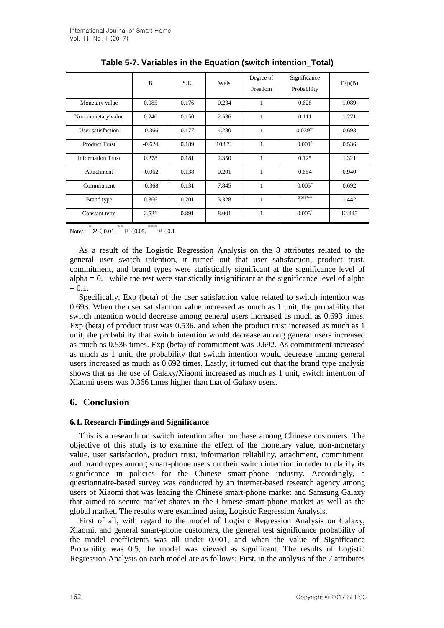|                          | B        | S.E.  | Wals   | Degree of<br>Freedom | Significance<br>Probability | Exp(B) |
|--------------------------|----------|-------|--------|----------------------|-----------------------------|--------|
| Monetary value           | 0.085    | 0.176 | 0.234  | 1                    | 0.628                       | 1.089  |
| Non-monetary value       | 0.240    | 0.150 | 2.536  | 1                    | 0.111                       | 1.271  |
| User satisfaction        | $-0.366$ | 0.177 | 4.280  | $\mathbf{1}$         | $0.039**$                   | 0.693  |
| <b>Product Trust</b>     | $-0.624$ | 0.189 | 10.871 | 1                    | $0.001*$                    | 0.536  |
| <b>Information Trust</b> | 0.278    | 0.181 | 2.350  | 1                    | 0.125                       | 1.321  |
| Attachment               | $-0.062$ | 0.138 | 0.201  | 1                    | 0.654                       | 0.940  |
| Commitment               | $-0.368$ | 0.131 | 7.845  | 1                    | $0.005*$                    | 0.692  |
| Brand type               | 0.366    | 0.201 | 3.328  | $\mathbf{1}$         | $0.068***$                  | 1.442  |
| Constant term            | 2.521    | 0.891 | 8.001  | 1                    | $0.005*$                    | 12.445 |

**Table 5-7. Variables in the Equation (switch intention\_Total)**

Notes :  $\overline{p} \langle 0.01, \overline{p} \langle 0.05, \overline{p} \langle 0.1 \rangle$ 

As a result of the Logistic Regression Analysis on the 8 attributes related to the general user switch intention, it turned out that user satisfaction, product trust, commitment, and brand types were statistically significant at the significance level of  $alpha = 0.1$  while the rest were statistically insignificant at the significance level of alpha  $= 0.1.$ 

Specifically, Exp (beta) of the user satisfaction value related to switch intention was 0.693. When the user satisfaction value increased as much as 1 unit, the probability that switch intention would decrease among general users increased as much as 0.693 times. Exp (beta) of product trust was 0.536, and when the product trust increased as much as 1 unit, the probability that switch intention would decrease among general users increased as much as 0.536 times. Exp (beta) of commitment was 0.692. As commitment increased as much as 1 unit, the probability that switch intention would decrease among general users increased as much as 0.692 times. Lastly, it turned out that the brand type analysis shows that as the use of Galaxy/Xiaomi increased as much as 1 unit, switch intention of Xiaomi users was 0.366 times higher than that of Galaxy users.

# **6. Conclusion**

### **6.1. Research Findings and Significance**

This is a research on switch intention after purchase among Chinese customers. The objective of this study is to examine the effect of the monetary value, non-monetary value, user satisfaction, product trust, information reliability, attachment, commitment, and brand types among smart-phone users on their switch intention in order to clarify its significance in policies for the Chinese smart-phone industry. Accordingly, a questionnaire-based survey was conducted by an internet-based research agency among users of Xiaomi that was leading the Chinese smart-phone market and Samsung Galaxy that aimed to secure market shares in the Chinese smart-phone market as well as the global market. The results were examined using Logistic Regression Analysis.

First of all, with regard to the model of Logistic Regression Analysis on Galaxy, Xiaomi, and general smart-phone customers, the general test significance probability of the model coefficients was all under 0.001, and when the value of Significance Probability was 0.5, the model was viewed as significant. The results of Logistic Regression Analysis on each model are as follows: First, in the analysis of the 7 attributes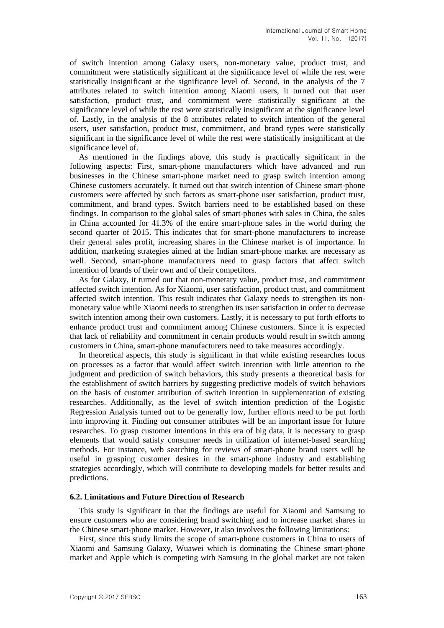of switch intention among Galaxy users, non-monetary value, product trust, and commitment were statistically significant at the significance level of while the rest were statistically insignificant at the significance level of. Second, in the analysis of the 7 attributes related to switch intention among Xiaomi users, it turned out that user satisfaction, product trust, and commitment were statistically significant at the significance level of while the rest were statistically insignificant at the significance level of. Lastly, in the analysis of the 8 attributes related to switch intention of the general users, user satisfaction, product trust, commitment, and brand types were statistically significant in the significance level of while the rest were statistically insignificant at the significance level of.

As mentioned in the findings above, this study is practically significant in the following aspects: First, smart-phone manufacturers which have advanced and run businesses in the Chinese smart-phone market need to grasp switch intention among Chinese customers accurately. It turned out that switch intention of Chinese smart-phone customers were affected by such factors as smart-phone user satisfaction, product trust, commitment, and brand types. Switch barriers need to be established based on these findings. In comparison to the global sales of smart-phones with sales in China, the sales in China accounted for 41.3% of the entire smart-phone sales in the world during the second quarter of 2015. This indicates that for smart-phone manufacturers to increase their general sales profit, increasing shares in the Chinese market is of importance. In addition, marketing strategies aimed at the Indian smart-phone market are necessary as well. Second, smart-phone manufacturers need to grasp factors that affect switch intention of brands of their own and of their competitors.

As for Galaxy, it turned out that non-monetary value, product trust, and commitment affected switch intention. As for Xiaomi, user satisfaction, product trust, and commitment affected switch intention. This result indicates that Galaxy needs to strengthen its nonmonetary value while Xiaomi needs to strengthen its user satisfaction in order to decrease switch intention among their own customers. Lastly, it is necessary to put forth efforts to enhance product trust and commitment among Chinese customers. Since it is expected that lack of reliability and commitment in certain products would result in switch among customers in China, smart-phone manufacturers need to take measures accordingly.

In theoretical aspects, this study is significant in that while existing researches focus on processes as a factor that would affect switch intention with little attention to the judgment and prediction of switch behaviors, this study presents a theoretical basis for the establishment of switch barriers by suggesting predictive models of switch behaviors on the basis of customer attribution of switch intention in supplementation of existing researches. Additionally, as the level of switch intention prediction of the Logistic Regression Analysis turned out to be generally low, further efforts need to be put forth into improving it. Finding out consumer attributes will be an important issue for future researches. To grasp customer intentions in this era of big data, it is necessary to grasp elements that would satisfy consumer needs in utilization of internet-based searching methods. For instance, web searching for reviews of smart-phone brand users will be useful in grasping customer desires in the smart-phone industry and establishing strategies accordingly, which will contribute to developing models for better results and predictions.

#### **6.2. Limitations and Future Direction of Research**

This study is significant in that the findings are useful for Xiaomi and Samsung to ensure customers who are considering brand switching and to increase market shares in the Chinese smart-phone market. However, it also involves the following limitations:

First, since this study limits the scope of smart-phone customers in China to users of Xiaomi and Samsung Galaxy, Wuawei which is dominating the Chinese smart-phone market and Apple which is competing with Samsung in the global market are not taken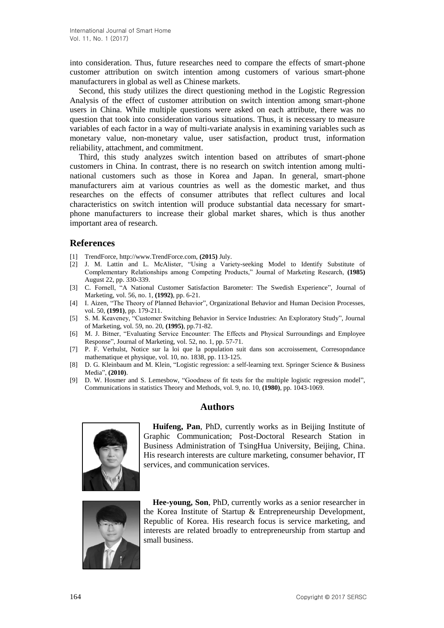into consideration. Thus, future researches need to compare the effects of smart-phone customer attribution on switch intention among customers of various smart-phone manufacturers in global as well as Chinese markets.

Second, this study utilizes the direct questioning method in the Logistic Regression Analysis of the effect of customer attribution on switch intention among smart-phone users in China. While multiple questions were asked on each attribute, there was no question that took into consideration various situations. Thus, it is necessary to measure variables of each factor in a way of multi-variate analysis in examining variables such as monetary value, non-monetary value, user satisfaction, product trust, information reliability, attachment, and commitment.

Third, this study analyzes switch intention based on attributes of smart-phone customers in China. In contrast, there is no research on switch intention among multinational customers such as those in Korea and Japan. In general, smart-phone manufacturers aim at various countries as well as the domestic market, and thus researches on the effects of consumer attributes that reflect cultures and local characteristics on switch intention will produce substantial data necessary for smartphone manufacturers to increase their global market shares, which is thus another important area of research.

### **References**

- [1] TrendForce, [http://www.TrendForce.com,](http://www.eto.co.kr/news) **(2015)** July.
- [2] J. M. Lattin and L. McAlister, "Using a Variety-seeking Model to Identify Substitute of Complementary Relationships among Competing Products," Journal of Marketing Research, **(1985)** August 22, pp. 330-339.
- [3] C. Fornell, "A National Customer Satisfaction Barometer: The Swedish Experience", Journal of Marketing, vol. 56, no. 1, **(1992)**, pp. 6-21.
- [4] I. Aizen, "The Theory of Planned Behavior", Organizational Behavior and Human Decision Processes, vol. 50, **(1991)**, pp. 179-211.
- [5] S. M. Keaveney, "Customer Switching Behavior in Service Industries: An Exploratory Study", Journal of Marketing, vol. 59, no. 20, **(1995)**, pp.71-82.
- [6] M. J. Bitner, "Evaluating Service Encounter: The Effects and Physical Surroundings and Employee Response", Journal of Marketing, vol. 52, no. 1, pp. 57-71.
- [7] P. F. Verhulst, Notice sur la loi que la population suit dans son accroissement, Corresopndance mathematique et physique, vol. 10, no. 1838, pp. 113-125.
- [8] D. G. Kleinbaum and M. Klein, "Logistic regression: a self-learning text. Springer Science & Business Media", **(2010)**.
- [9] D. W. Hosmer and S. Lemesbow, "Goodness of fit tests for the multiple logistic regression model", Communications in statistics Theory and Methods, vol. 9, no. 10, **(1980)**, pp. 1043-1069.

### **Authors**



**Huifeng, Pan**, PhD, currently works as in Beijing Institute of Graphic Communication; Post-Doctoral Research Station in Business Administration of TsingHua University, Beijing, China. His research interests are culture marketing, consumer behavior, IT services, and communication services.



**Hee-young, Son**, PhD, currently works as a senior researcher in the Korea Institute of Startup & Entrepreneurship Development, Republic of Korea. His research focus is service marketing, and interests are related broadly to entrepreneurship from startup and small business.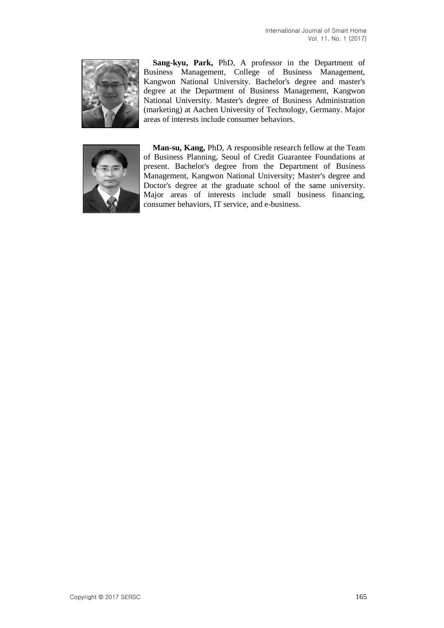

**Sang-kyu, Park,** PhD, A professor in the Department of Business Management, College of Business Management, Kangwon National University. Bachelor's degree and master's degree at the Department of Business Management, Kangwon National University. Master's degree of Business Administration (marketing) at Aachen University of Technology, Germany. Major areas of interests include consumer behaviors.



**Man-su, Kang,** PhD, A responsible research fellow at the Team of Business Planning, Seoul of Credit Guarantee Foundations at present. Bachelor's degree from the Department of Business Management, Kangwon National University; Master's degree and Doctor's degree at the graduate school of the same university. Major areas of interests include small business financing, consumer behaviors, IT service, and e-business.